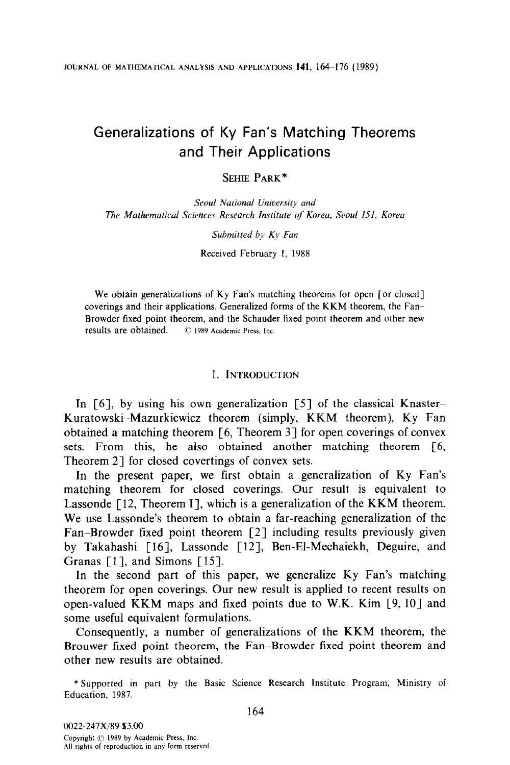# Generalizations of Ky Fan's Matching Theorems and Their Applications

# SEHIE PARK\*

Seoul National University and The Mathematical Sciences Research Institute of Korea, Seoul 151, Korea

Submitted by Ky Fan

Received February 1, 1988

We obtain generalizations of Ky Fan's matching theorems for open [or closed] coverings and their applications. Generalized forms of the KKM theorem, the Fan-Browder fixed point theorem, and the Schauder fixed point theorem and other new results are obtained.  $\circ$  1989 Academic Press. Inc.

#### 1. INTRODUCTION

In  $[6]$ , by using his own generalization  $[5]$  of the classical Knaster-Kuratowski-Mazurkiewicz theorem (simply, KKM theorem), Ky Fan obtained a matching theorem [6, Theorem 31 for open coverings of convex sets. From this, he also obtained another matching theorem [6, Theorem 21 for closed covertings of convex sets.

In the present paper, we first obtain a generalization of Ky Fan's matching theorem for closed coverings. Our result is equivalent to Lassonde  $[12,$  Theorem I], which is a generalization of the KKM theorem. We use Lassonde's theorem to obtain a far-reaching generalization of the Fan-Browder fixed point theorem [2] including results previously given by Takahashi [16], Lassonde [12], Ben-El-Mechaiekh, Deguire, and Granas [1], and Simons [15].

In the second part of this paper, we generalize Ky Fan's matching theorem for open coverings. Our new result is applied to recent results on open-valued KKM maps and fixed points due to W.K. Kim [9, lo] and some useful equivalent formulations.

Consequently, a number of generalizations of the KKM theorem, the Brouwer fixed point theorem, the Fan-Browder fixed point theorem and other new results are obtained.

\*Supported in part by the Basic Science Research Institute Program, Ministry of Education, 1987.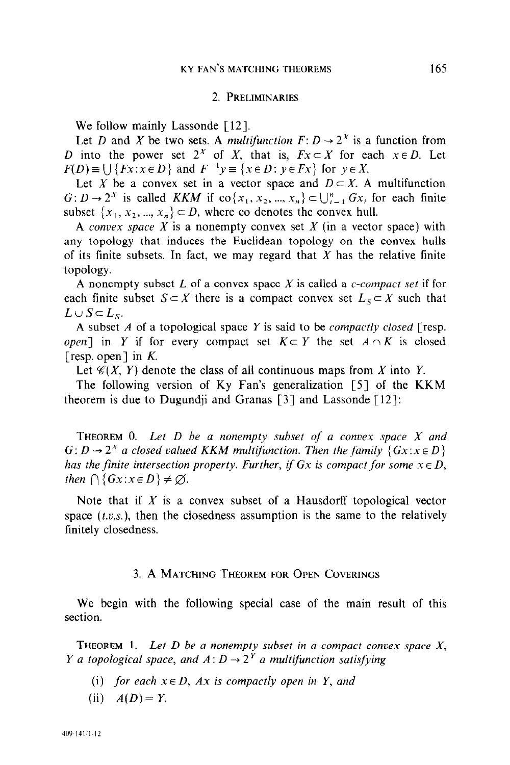#### 2. PRELIMINARIES

We follow mainly Lassonde [12].

Let D and X be two sets. A multifunction  $F: D \to 2^X$  is a function from D into the power set  $2^x$  of X, that is,  $Fx \subset X$  for each  $x \in D$ . Let  $F(D) \equiv \bigcup \{Fx:x \in D\}$  and  $F^{-1}y \equiv \{x \in D: y \in Fx\}$  for  $y \in X$ .

Let X be a convex set in a vector space and  $D \subset X$ . A multifunction  $G: D \to 2^X$  is called KKM if  $\text{co}\{x_1, x_2, ..., x_n\} \subset \bigcup_{i=1}^n Gx_i$  for each finite subset  $\{x_1, x_2, ..., x_n\} \subset D$ , where co denotes the convex hull.

A convex space X is a nonempty convex set X (in a vector space) with any topology that induces the Euclidean topology on the convex hulls of its finite subsets. In fact, we may regard that  $X$  has the relative finite topology.

A nonempty subset  $L$  of a convex space  $X$  is called a c-compact set if for each finite subset  $S \subset X$  there is a compact convex set  $L_S \subset X$  such that  $L\cup S\subset L_S$ .

A subset  $A$  of a topological space  $Y$  is said to be *compactly closed* [resp. open] in Y if for every compact set  $K \subset Y$  the set  $A \cap K$  is closed [resp. open] in  $K$ .

Let  $\mathcal{C}(X, Y)$  denote the class of all continuous maps from X into Y.

The following version of Ky Fan's generalization  $[5]$  of the KKM theorem is due to Dugundii and Granas  $\lceil 3 \rceil$  and Lassonde  $\lceil 12 \rceil$ :

THEOREM  $0$ . Let  $D$  be a nonempty subset of a convex space  $X$  and  $G: D \to 2^X$  a closed valued KKM multifunction. Then the family  $\{Gx : x \in D\}$ has the finite intersection property. Further, if Gx is compact for some  $x \in D$ , then  $\bigcap$  { $Gx$ : $x \in D$  }  $\neq \emptyset$ .

Note that if  $X$  is a convex subset of a Hausdorff topological vector space  $(t.v.s.)$ , then the closedness assumption is the same to the relatively finitely closedness.

# 3. A MATCHING THEOREM FOR OPEN COVERINGS

We begin with the following special case of the main result of this section.

THEOREM 1. Let  $D$  be a nonempty subset in a compact convex space  $X$ , *Y* a topological space, and  $A: D \rightarrow 2^{Y}$  a multifunction satisfying

- (i) for each  $x \in D$ , Ax is compactly open in Y, and
- (ii)  $A(D) = Y$ .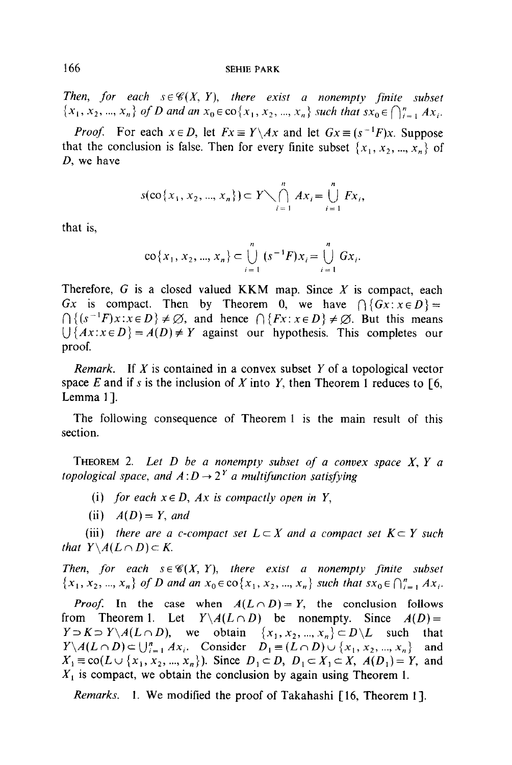Then, for each  $s \in \mathcal{C}(X, Y)$ , there exist a nonempty finite subset  $\{x_1, x_2, ..., x_n\}$  of D and an  $x_0 \in \text{co}\{x_1, x_2, ..., x_n\}$  such that  $sx_0 \in \bigcap_{i=1}^n Ax_i$ .

*Proof.* For each  $x \in D$ , let  $Fx \equiv Y \setminus Ax$  and let  $Gx \equiv (s^{-1}F)x$ . Suppose that the conclusion is false. Then for every finite subset  $\{x_1, x_2, ..., x_n\}$  of D, we have

$$
s(\cos\{x_1, x_2, ..., x_n\}) \subset Y \setminus \bigcap_{i=1}^n Ax_i = \bigcup_{i=1}^n Fx_i,
$$

that is,

$$
\text{co}\{x_1, x_2, ..., x_n\} \subset \bigcup_{i=1}^n (s^{-1}F)x_i = \bigcup_{i=1}^n Gx_i.
$$

Therefore,  $G$  is a closed valued KKM map. Since  $X$  is compact, each Gx is compact. Then by Theorem 0, we have  $\bigcap \{ Gx : x \in D \} =$  $\bigcap \{ (s^{-1}F)x : x \in D \} \neq \emptyset$ , and hence  $\bigcap \{Fx : x \in D \} \neq \emptyset$ . But this means  $1$  $\{Ax : x \in D\} = A(D) \neq Y$  against our hypothesis. This completes our proof.

*Remark.* If X is contained in a convex subset Y of a topological vector space E and if s is the inclusion of X into Y, then Theorem 1 reduces to  $[6, 6]$ Lemma 11.

The following consequence of Theorem 1 is the main result of this section.

THEOREM 2. Let  $D$  be a nonempty subset of a convex space  $X, Y$  a topological space, and  $A: D \rightarrow 2^Y$  a multifunction satisfying

- (i) for each  $x \in D$ , Ax is compactly open in Y,
- (ii)  $A(D) = Y$ , and

(iii) there are a c-compact set  $L \subset X$  and a compact set  $K \subset Y$  such that  $Y \setminus A(L \cap D) \subset K$ .

Then, for each  $s \in \mathcal{C}(X, Y)$ , there exist a nonempty finite subset  ${x_1, x_2, ..., x_n}$  of D and an  $x_0 \in \text{co} {x_1, x_2, ..., x_n}$  such that  $sx_0 \in \bigcap_{i=1}^n Ax_i$ .

*Proof.* In the case when  $A(L \cap D) = Y$ , the conclusion follows from Theorem 1. Let  $Y \setminus A(L \cap D)$  be nonempty. Since  $A(D) =$  $Y \supset K \supset Y\setminus A(L \cap D)$ , we obtain  $\{x_1, x_2, ..., x_n\} \subset D\setminus L$  such that  $Y\setminus A(L\cap D) \subset \bigcup_{i=1}^n Ax_i$ . Consider  $D_1 \equiv (L\cap D) \cup \{x_1, x_2, ..., x_n\}$  and  $X_1 \equiv \text{co}(L \cup \{x_1, x_2, ..., x_n\})$ . Since  $D_1 \subset D$ ,  $D_1 \subset X_1 \subset X$ ,  $A(D_1) = Y$ , and  $X_1$  is compact, we obtain the conclusion by again using Theorem 1.

Remarks. 1. We modified the proof of Takahashi [16, Theorem 1].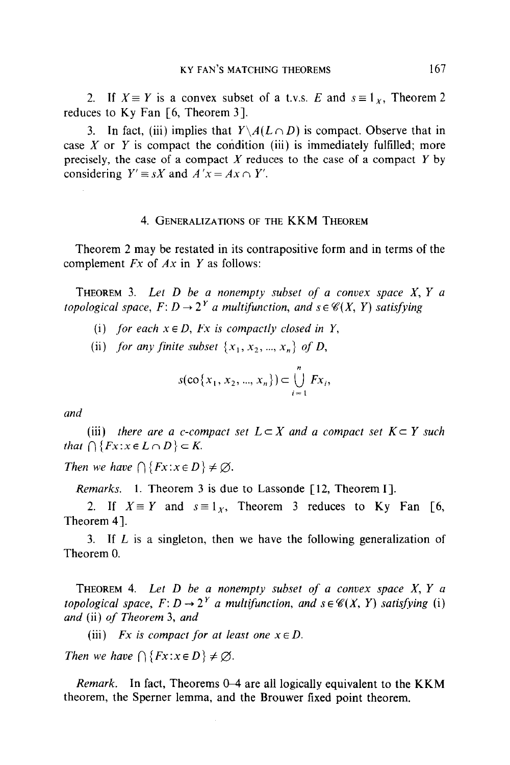2. If  $X \equiv Y$  is a convex subset of a t.v.s. E and  $s \equiv 1_X$ , Theorem 2 reduces to Ky Fan [6, Theorem 3].

3. In fact, (iii) implies that  $Y \setminus A(L \cap D)$  is compact. Observe that in case X or Y is compact the condition (iii) is immediately fulfilled; more precisely, the case of a compact X reduces to the case of a compact Y by considering  $Y' \equiv sX$  and  $A'x = Ax \cap Y'$ .

## 4. GENERALIZATIONS OF THE KKM THEOREM

Theorem 2 may be restated in its contrapositive form and in terms of the complement  $Fx$  of  $Ax$  in  $Y$  as follows:

THEOREM 3. Let  $D$  be a nonempty subset of a convex space  $X, Y$  a topological space,  $F: D \to 2^Y$  a multifunction, and  $s \in \mathcal{C}(X, Y)$  satisfying

- (i) for each  $x \in D$ , Fx is compactly closed in Y,
- (ii) for any finite subset  $\{x_1, x_2, ..., x_n\}$  of D,

$$
s(\cos\{x_1, x_2, ..., x_n\}) \subset \bigcup_{i=1}^n F x_i,
$$

and

(iii) there are a c-compact set  $L \subset X$  and a compact set  $K \subset Y$  such that  $\bigcap \{Fx:x\in L\cap D\}\subset K$ .

Then we have  $\bigcap \{Fx:x\in D\}\neq \emptyset$ .

Remarks. 1. Theorem 3 is due to Lassonde [12, Theorem I].

2. If  $X \equiv Y$  and  $s \equiv 1_x$ , Theorem 3 reduces to Ky Fan [6, Theorem 41.

3. If L is a singleton, then we have the following generalization of Theorem 0.

THEOREM 4. Let  $D$  be a nonempty subset of a convex space  $X, Y, a$ topological space,  $F: D \to 2^Y$  a multifunction, and  $s \in \mathcal{C}(X, Y)$  satisfying (i) and (ii) of Theorem 3, and

(iii) Fx is compact for at least one  $x \in D$ .

Then we have  $\bigcap \{Fx:x\in D\}\neq\emptyset$ .

*Remark.* In fact, Theorems  $0-4$  are all logically equivalent to the KKM theorem, the Sperner lemma, and the Brouwer fixed point theorem.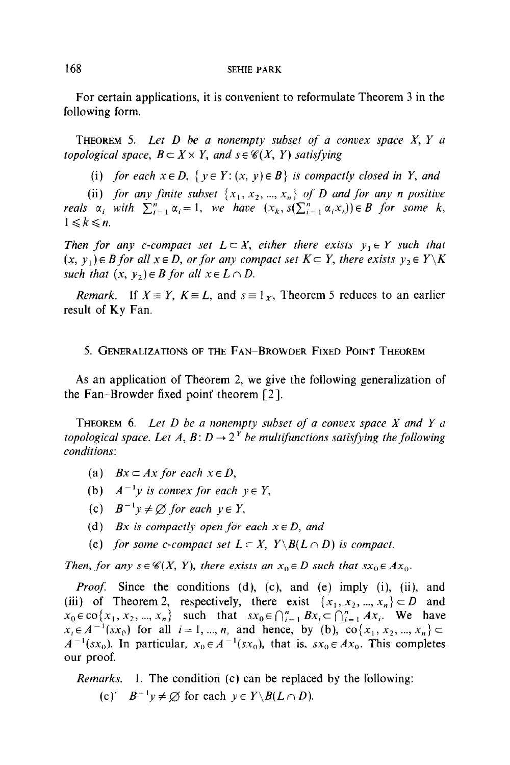#### 168 SEHIE PARK

For certain applications, it is convenient to reformulate Theorem 3 in the following form.

**THEOREM** 5. Let  $D$  be a nonempty subset of a convex space  $X$ ,  $Y$  a topological space,  $B \subset X \times Y$ , and  $s \in \mathcal{C}(X, Y)$  satisfying

(i) for each  $x \in D$ ,  $\{y \in Y: (x, y) \in B\}$  is compactly closed in Y, and

(ii) for any finite subset  $\{x_1, x_2, ..., x_n\}$  of D and for any n positive reals  $\alpha_i$  with  $\sum_{i=1}^n \alpha_i = 1$ , we have  $(x_k, s(\sum_{i=1}^n \alpha_i x_i)) \in B$  for some k,  $1 \leq k \leq n$ .

Then for any c-compact set  $L \subset X$ , either there exists  $y_1 \in Y$  such that  $(x, y_1) \in B$  for all  $x \in D$ , or for any compact set  $K \subset Y$ , there exists  $y_2 \in Y\backslash K$ such that  $(x, y_2) \in B$  for all  $x \in L \cap D$ .

*Remark.* If  $X \equiv Y$ ,  $K \equiv L$ , and  $s = 1<sub>x</sub>$ , Theorem 5 reduces to an earlier result of Ky Fan.

#### 5. GENERALIZATIONS OF THE FAN-BROWDER FIXED POINT THEOREM

As an application of Theorem 2, we give the following generalization of the Fan-Browder fixed point theorem  $[2]$ .

THEOREM 6. Let  $D$  be a nonempty subset of a convex space  $X$  and  $Y$  a topological space. Let A,  $B: D \to 2^Y$  be multifunctions satisfying the following conditions:

- (a)  $Bx \subset Ax$  for each  $x \in D$ ,
- (b)  $A^{-1}y$  is convex for each  $y \in Y$ ,
- (c)  $B^{-1}y \neq \emptyset$  for each  $y \in Y$ ,
- (d) Bx is compactly open for each  $x \in D$ , and
- (e) for some c-compact set  $L \subset X$ ,  $Y \setminus B(L \cap D)$  is compact.

Then, for any  $s \in \mathcal{C}(X, Y)$ , there exists an  $x_0 \in D$  such that  $sx_0 \in Ax_0$ .

*Proof.* Since the conditions (d), (c), and (e) imply (i), (ii), and (iii) of Theorem 2, respectively, there exist  $\{x_1, x_2, ..., x_n\} \subset D$  and  $x_0 \in \text{co}\{x_1, x_2, ..., x_n\}$  such that  $sx_0 \in \bigcap_{i=1}^n Bx_i \subset \bigcap_{i=1}^n Ax_i$ . We have  $x_i \in A^{-1}(sx_0)$  for all  $i = 1, ..., n$ , and hence, by (b), co $\{x_1, x_2, ..., x_n\} \subset$  $A^{-1}(sx_0)$ . In particular,  $x_0 \in A^{-1}(sx_0)$ , that is,  $sx_0 \in Ax_0$ . This completes our proof.

Remarks. 1. The condition (c) can be replaced by the following: (c)'  $B^{-1}v \neq \emptyset$  for each  $v \in Y \setminus B(L \cap D)$ .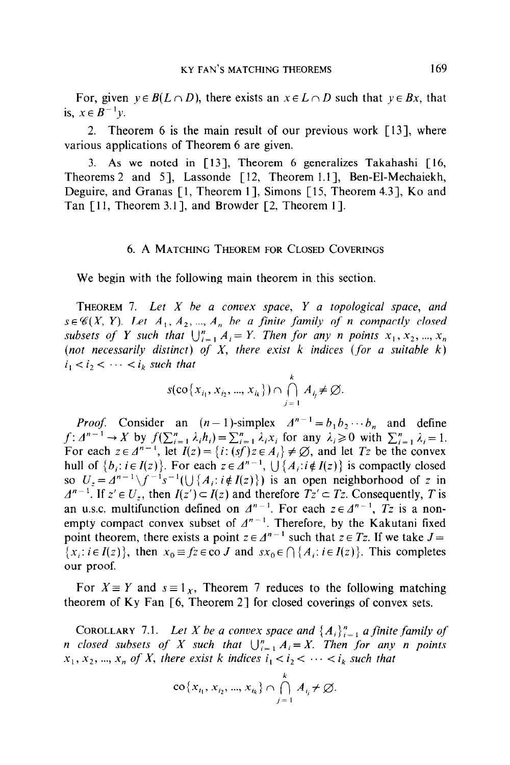For, given  $y \in B(L \cap D)$ , there exists an  $x \in L \cap D$  such that  $y \in Bx$ , that is,  $x \in B^{-1}y$ .

2. Theorem 6 is the main result of our previous work  $\lceil 13 \rceil$ , where various applications of Theorem 6 are given.

3. As we noted in [13], Theorem 6 generalizes Takahashi [ 16, Theorems 2 and 51, Lassonde [ 12, Theorem 1.11, Ben-El-Mechaiekh, Deguire, and Granas [1, Theorem 1], Simons [15, Theorem 4.3], Ko and Tan  $[11,$  Theorem 3.1], and Browder  $[2,$  Theorem 1].

#### 6. A MATCHING THEOREM FOR CLOSED COVERINGS

We begin with the following main theorem in this section.

THEOREM 7. Let  $X$  be a convex space,  $Y$  a topological space, and  $s \in \mathcal{C}(X, Y)$ . Let  $A_1, A_2, ..., A_n$  be a finite family of n compactly closed subsets of Y such that  $\bigcup_{i=1}^n A_i = Y$ . Then for any n points  $x_1, x_2, ..., x_n$ (not necessarily distinct) of  $X$ , there exist  $k$  indices (for a suitable  $k$ )  $i_1 < i_2 < \cdots < i_k$  such that

$$
s(\operatorname{co}\{x_{i_1}, x_{i_2}, ..., x_{i_k}\}) \cap \bigcap_{j=1}^k A_{i_j} \neq \varnothing.
$$

*Proof.* Consider an  $(n-1)$ -simplex  $A^{n-1} = b_1 b_2 \cdots b_n$  and define  $f: \Delta^{n-1} \to X$  by  $f(\sum_{i=1}^n \lambda_i h_i) = \sum_{i=1}^n \lambda_i x_i$  for any  $\lambda_i \ge 0$  with  $\sum_{i=1}^n \lambda_i = 1$ . For each  $z \in \Delta^{n-1}$ , let  $I(z) = \{i : (sf) \in A_i\} \neq \emptyset$ , and let  $Tz$  be the convex hull of  $\{b_i: i \in I(z)\}$ . For each  $z \in A^{n-1}$ ,  $\bigcup \{A_i: i \notin I(z)\}$  is compactly closed so  $U_z = A^{n-1} \setminus f^{-1} s^{-1} (\bigcup \{A_i : i \notin I(z)\})$  is an open neighborhood of z in  $\Delta^{n-1}$ . If  $z' \in U_z$ , then  $I(z') \subset I(z)$  and therefore  $Tz' \subset Tz$ . Consequently, T is an u.s.c. multifunction defined on  $A^{n-1}$ . For each  $z \in A^{n-1}$ , Tz is a nonempty compact convex subset of  $A^{n-1}$ . Therefore, by the Kakutani fixed point theorem, there exists a point  $z \in \Delta^{n-1}$  such that  $z \in Tz$ . If we take  $J=$  ${x_i : i \in I(z)}$ , then  $x_0 \equiv fz \in \infty J$  and  $sx_0 \in \bigcap \{A_i : i \in I(z)\}\$ . This completes our proof.

For  $X \equiv Y$  and  $s \equiv 1_X$ , Theorem 7 reduces to the following matching theorem of Ky Fan  $\lceil 6$ , Theorem 2 $\rceil$  for closed coverings of convex sets.

COROLLARY 7.1. Let X be a convex space and  $\{A_i\}_{i=1}^n$  a finite family of n closed subsets of X such that  $\bigcup_{i=1}^n A_i = X$ . Then for any n points  $x_1, x_2, ..., x_n$  of X, there exist k indices  $i_1 < i_2 < \cdots < i_k$  such that

$$
\operatorname{co}\left\{x_{i_1}, x_{i_2}, ..., x_{i_k}\right\} \cap \bigcap_{j=1}^k A_{i_j} \neq \varnothing.
$$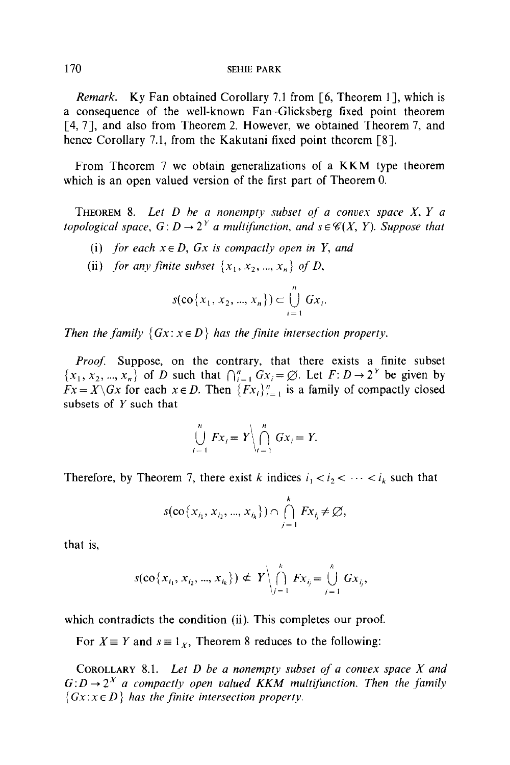#### 170 SEHIE PARK

Remark. Ky Fan obtained Corollary 7.1 from [6, Theorem 11, which is a consequence of the well-known Fan-Glicksberg fixed point theorem [4, 71, and also from Theorem 2. However, we obtained Theorem 7, and hence Corollary 7.1, from the Kakutani fixed point theorem [8].

From Theorem 7 we obtain generalizations of a KKM type theorem which is an open valued version of the first part of Theorem 0.

THEOREM 8. Let  $D$  be a nonempty subset of a convex space  $X, Y$  a topological space,  $G: D \to 2^Y$  a multifunction, and  $s \in \mathcal{C}(X, Y)$ . Suppose that

- (i) for each  $x \in D$ ,  $Gx$  is compactly open in Y, and
- (ii) for any finite subset  $\{x_1, x_2, ..., x_n\}$  of D,

$$
s(\cos\{x_1, x_2, ..., x_n\}) \subset \bigcup_{i=1}^n Gx_i.
$$

Then the family  $\{Gx : x \in D\}$  has the finite intersection property.

Proof. Suppose, on the contrary, that there exists a finite subset  $\{x_1, x_2, ..., x_n\}$  of D such that  $\bigcap_{i=1}^n Gx_i = \emptyset$ . Let  $F: D \to 2^Y$  be given by  $Fx = X\backslash Gx$  for each  $x \in D$ . Then  $\{Fx_i\}_{i=1}^n$  is a family of compactly closed subsets of Y such that

$$
\bigcup_{i=1}^n Fx_i = Y \bigg| \bigcap_{i=1}^n Gx_i = Y.
$$

Therefore, by Theorem 7, there exist k indices  $i_1 < i_2 < \cdots < i_k$  such that

$$
s(\operatorname{co}\{x_{i_1}, x_{i_2}, ..., x_{i_k}\}) \cap \bigcap_{j=1}^k Fx_{i_j} \neq \emptyset,
$$

that is,

$$
s(\mathbf{co}\{x_{i_1}, x_{i_2}, ..., x_{i_k}\}) \neq Y \Big\backslash \bigcap_{j=1}^k Fx_{i_j} = \bigcup_{j=1}^k Gx_{i_j},
$$

which contradicts the condition (ii). This completes our proof.

For  $X \equiv Y$  and  $s \equiv 1_X$ , Theorem 8 reduces to the following:

COROLLARY 8.1. Let  $D$  be a nonempty subset of a convex space  $X$  and  $G: D \to 2^X$  a compactly open valued KKM multifunction. Then the family  $\{Gx : x \in D\}$  has the finite intersection property.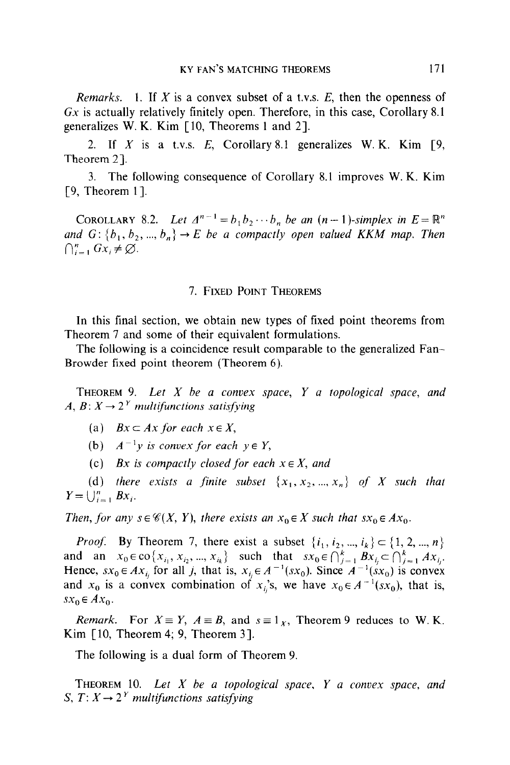Remarks. 1. If X is a convex subset of a t.v.s.  $E$ , then the openness of  $Gx$  is actually relatively finitely open. Therefore, in this case, Corollary 8.1 generalizes W. K. Kim [ 10, Theorems 1 and 21.

2. If X is a t.v.s. E, Corollary 8.1 generalizes W. K. Kim  $[9, 9]$ Theorem 2].

3. The following consequence of Corollary 8.1 improves W. K. Kim [9, Theorem 1].

COROLLARY 8.2. Let  $\Delta^{n-1} = b_1 b_2 \cdots b_n$  be an  $(n-1)$ -simplex in  $E = \mathbb{R}^n$ and  $G: \{b_1, b_2, ..., b_n\} \rightarrow E$  be a compactly open valued KKM map. Then  $\bigcap_{i=1}^n Gx_i \neq \emptyset$ .

# 7. FIXED POINT THEOREMS

In this final section, we obtain new types of fixed point theorems from Theorem 7 and some of their equivalent formulations.

The following is a coincidence result comparable to the generalized Fan-Browder fixed point theorem (Theorem 6).

**THEOREM** 9. Let  $X$  be a convex space,  $Y$  a topological space, and A,  $B: X \rightarrow 2^Y$  multifunctions satisfying

(a)  $Bx \subset Ax$  for each  $x \in X$ ,

(b)  $A^{-1}v$  is convex for each  $v \in Y$ ,

(c) Bx is compactly closed for each  $x \in X$ , and

(d) there exists a finite subset  $\{x_1, x_2, ..., x_n\}$  of X such that  $Y=\bigcup_{i=1}^n Bx_i$ .

Then, for any  $s \in \mathcal{C}(X, Y)$ , there exists an  $x_0 \in X$  such that  $sx_0 \in Ax_0$ .

*Proof.* By Theorem 7, there exist a subset  $\{i_1, i_2, ..., i_k\} \subset \{1, 2, ..., n\}$ and an  $x_0 \in \text{co}\{x_{i_1}, x_{i_2}, ..., x_{i_k}\}$  such that  $sx_0 \in \bigcap_{i=1}^k Bx_i \subset \bigcap_{i=1}^k Ax_i$ . Hence,  $sx_0 \in Ax_{i}$  for all j, that is,  $x_{i} \in A^{-1}(sx_0)$ . Since  $A^{-1}(sx_0)$  is convex and  $x_0$  is a convex combination of  $x_i$ 's, we have  $x_0 \in A^{-1}(sx_0)$ , that is,  $sx_0 \in Ax_0$ .

*Remark.* For  $X \equiv Y$ ,  $A \equiv B$ , and  $s \equiv 1_X$ , Theorem 9 reduces to W.K. Kim  $[10,$  Theorem 4; 9, Theorem 3].

The following is a dual form of Theorem 9.

THEOREM 10. Let  $X$  be a topological space,  $Y$  a convex space, and S,  $T: X \rightarrow 2^Y$  multifunctions satisfying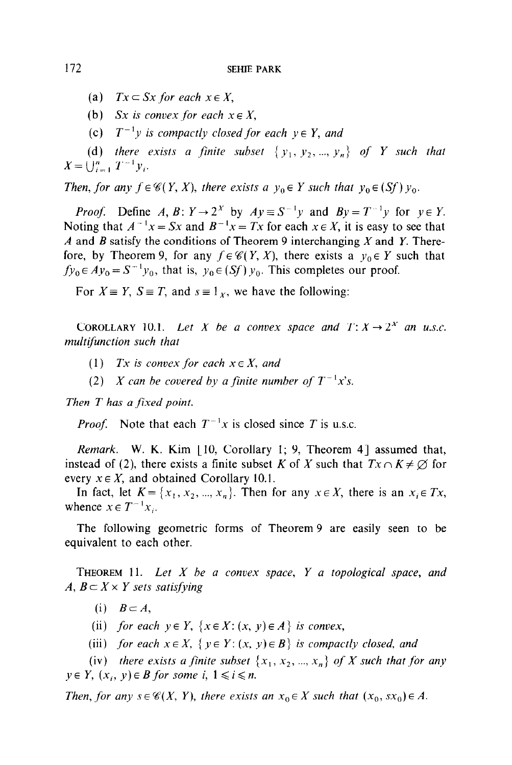- (a)  $Tx \subseteq Sx$  for each  $x \in X$ ,
- (b) Sx is convex for each  $x \in X$ ,
- (c)  $T^{-1}y$  is compactly closed for each  $y \in Y$ , and

(d) there exists a finite subset  $\{y_1, y_2, ..., y_n\}$  of Y such that  $X = \bigcup_{i=1}^{n} T^{-1} y_i.$ 

Then, for any  $f \in \mathscr{C}(Y, X)$ , there exists a  $y_0 \in Y$  such that  $y_0 \in (Sf)$   $y_0$ .

*Proof.* Define A, B:  $Y \rightarrow 2^X$  by  $Ay = S^{-1}y$  and  $By = T^{-1}y$  for  $y \in Y$ . Noting that  $A^{-1}x = Sx$  and  $B^{-1}x = Tx$  for each  $x \in X$ , it is easy to see that A and B satisfy the conditions of Theorem 9 interchanging X and Y. Therefore, by Theorem 9, for any  $f \in \mathcal{C}(Y, X)$ , there exists a  $y_0 \in Y$  such that  $f_{y_0} \in Ay_0 = S^{-1}y_0$ , that is,  $y_0 \in (Sf)$   $y_0$ . This completes our proof.

For  $X \equiv Y$ ,  $S \equiv T$ , and  $s \equiv 1<sub>x</sub>$ , we have the following:

COROLLARY 10.1. Let X be a convex space and  $T: X \rightarrow 2^X$  an u.s.c. multifunction such that

- (1) Tx is convex for each  $x \in X$ , and
- (2) X can be covered by a finite number of  $T^{-1}x$ 's.

Then T has a fixed point.

*Proof.* Note that each  $T^{-1}x$  is closed since T is u.s.c.

Remark. W. K. Kim [10, Corollary 1; 9, Theorem 4] assumed that, instead of (2), there exists a finite subset K of X such that  $Tx \cap K \neq \emptyset$  for every  $x \in X$ , and obtained Corollary 10.1.

In fact, let  $K = \{x_1, x_2, ..., x_n\}$ . Then for any  $x \in X$ , there is an  $x_i \in Tx$ , whence  $x \in T^{-1}x_i$ .

The following geometric forms of Theorem 9 are easily seen to be equivalent to each other.

THEOREM 11. Let  $X$  be a convex space,  $Y$  a topological space, and A,  $B \subset X \times Y$  sets satisfying

(i)  $B \subset A$ ,

- (ii) for each  $y \in Y$ ,  $\{x \in X : (x, y) \in A\}$  is convex,
- (iii) for each  $x \in X$ ,  $\{y \in Y: (x, y) \in B\}$  is compactly closed, and

(iv) there exists a finite subset  $\{x_1, x_2, ..., x_n\}$  of X such that for any  $y \in Y$ ,  $(x_i, y) \in B$  for some i,  $1 \le i \le n$ .

Then, for any  $s \in \mathcal{C}(X, Y)$ , there exists an  $x_0 \in X$  such that  $(x_0, sx_0) \in A$ .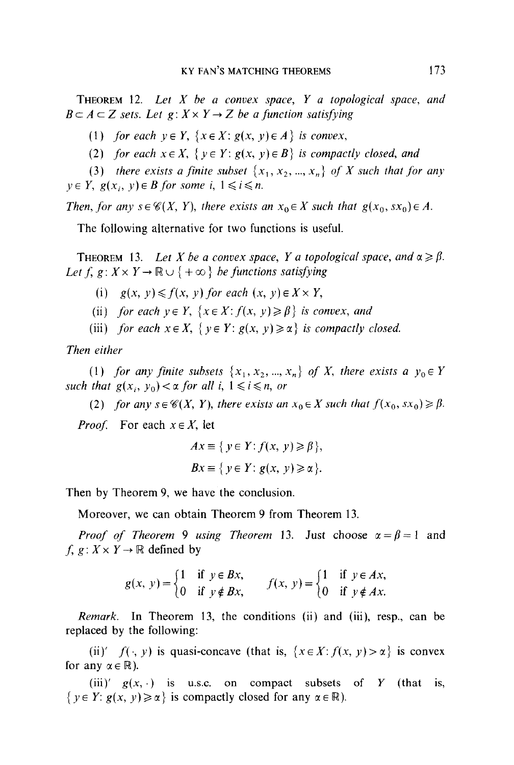**THEOREM** 12. Let  $X$  be a convex space,  $Y$  a topological space, and  $B \subset A \subset Z$  sets. Let  $g: X \times Y \to Z$  be a function satisfying

(1) for each  $y \in Y$ ,  $\{x \in X : g(x, y) \in A\}$  is convex,

(2) for each  $x \in X$ ,  $\{y \in Y : g(x, y) \in B\}$  is compactly closed, and

(3) there exists a finite subset  $\{x_1, x_2, ..., x_n\}$  of X such that for any  $y \in Y$ ,  $g(x_i, y) \in B$  for some i,  $1 \le i \le n$ .

Then, for any  $s \in \mathcal{C}(X, Y)$ , there exists an  $x_0 \in X$  such that  $g(x_0, sx_0) \in A$ .

The following alternative for two functions is useful.

**THEOREM** 13. Let X be a convex space, Y a topological space, and  $\alpha \ge \beta$ . Let f,  $g: X \times Y \to \mathbb{R} \cup \{ +\infty \}$  be functions satisfying

- (i)  $g(x, y) \le f(x, y)$  for each  $(x, y) \in X \times Y$ ,
- (ii) for each  $y \in Y$ ,  $\{x \in X : f(x, y) \ge \beta\}$  is convex, and
- (iii) for each  $x \in X$ ,  $\{y \in Y : g(x, y) \ge \alpha\}$  is compactly closed.

Then either

(1) for any finite subsets  $\{x_1, x_2, ..., x_n\}$  of X, there exists a  $y_0 \in Y$ such that  $g(x_i, y_0) < \alpha$  for all i,  $1 \le i \le n$ , or

(2) for any  $s \in \mathcal{C}(X, Y)$ , there exists an  $x_0 \in X$  such that  $f(x_0, sx_0) \ge \beta$ .

*Proof.* For each  $x \in X$ , let

$$
Ax \equiv \{ y \in Y : f(x, y) \ge \beta \},
$$
  

$$
Bx \equiv \{ y \in Y : g(x, y) \ge \alpha \}.
$$

Then by Theorem 9, we have the conclusion.

Moreover, we can obtain Theorem 9 from Theorem 13.

*Proof of Theorem 9 using Theorem 13. Just choose*  $\alpha = \beta = 1$  and  $f, g: X \times Y \rightarrow \mathbb{R}$  defined by

$$
g(x, y) = \begin{cases} 1 & \text{if } y \in Bx, \\ 0 & \text{if } y \notin Bx, \end{cases} \qquad f(x, y) = \begin{cases} 1 & \text{if } y \in Ax, \\ 0 & \text{if } y \notin Ax. \end{cases}
$$

*Remark.* In Theorem 13, the conditions (ii) and (iii), resp., can be replaced by the following:

(ii)'  $f(\cdot, y)$  is quasi-concave (that is,  $\{x \in X : f(x, y) > \alpha\}$  is convex for any  $\alpha \in \mathbb{R}$ ).

(iii)'  $g(x, \cdot)$  is u.s.c. on compact subsets of Y (that is, { $y \in Y: g(x, y) \ge \alpha$ } is compactly closed for any  $\alpha \in \mathbb{R}$ ).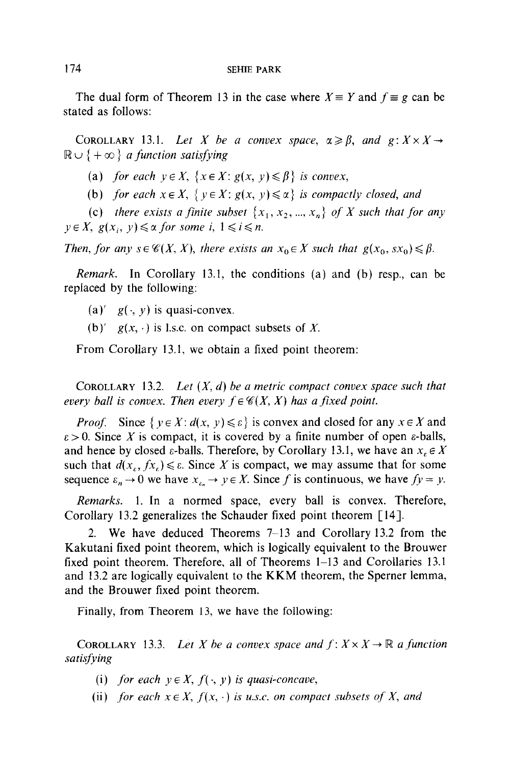The dual form of Theorem 13 in the case where  $X \equiv Y$  and  $f \equiv g$  can be stated as follows:

COROLLARY 13.1. Let X be a convex space,  $\alpha \geq \beta$ , and  $g: X \times X \rightarrow$  $\mathbb{R} \cup \{ +\infty \}$  a function satisfying

(a) for each  $y \in X$ ,  $\{x \in X : g(x, y) \leq \beta\}$  is convex,

(b) for each  $x \in X$ ,  $\{y \in X : g(x, y) \le \alpha\}$  is compactly closed, and

(c) there exists a finite subset  $\{x_1, x_2, ..., x_n\}$  of X such that for any  $y \in X$ ,  $g(x_i, y) \leq \alpha$  for some i,  $1 \leq i \leq n$ .

Then, for any  $s \in \mathcal{C}(X, X)$ , there exists an  $x_0 \in X$  such that  $g(x_0, s x_0) \leq \beta$ .

Remark. In Corollary 13.1, the conditions (a) and (b) resp., can be replaced by the following:

- (a)'  $g(\cdot, y)$  is quasi-convex.
- (b)'  $g(x, \cdot)$  is l.s.c. on compact subsets of X.

From Corollary 13.1, we obtain a fixed point theorem:

COROLLARY 13.2. Let  $(X, d)$  be a metric compact convex space such that every ball is convex. Then every  $f \in \mathcal{C}(X, X)$  has a fixed point.

*Proof.* Since  $\{y \in X : d(x, y) \le \varepsilon\}$  is convex and closed for any  $x \in X$  and  $\epsilon > 0$ . Since X is compact, it is covered by a finite number of open  $\epsilon$ -balls, and hence by closed  $\varepsilon$ -balls. Therefore, by Corollary 13.1, we have an  $x_{\varepsilon} \in X$ such that  $d(x_{\varepsilon}, fx_{\varepsilon}) \leq \varepsilon$ . Since X is compact, we may assume that for some sequence  $\varepsilon_n \to 0$  we have  $x_{\varepsilon_n} \to y \in X$ . Since f is continuous, we have  $fy = y$ .

Remarks. 1. In a normed space, every ball is convex. Therefore, Corollary 13.2 generalizes the Schauder fixed point theorem [ 141.

2. We have deduced Theorems 7-13 and Corollary 13.2 from the Kakutani fixed point theorem, which is logically equivalent to the Brouwer fixed point theorem. Therefore, all of Theorems 1–13 and Corollaries 13.1 and 13.2 are logically equivalent to the KKM theorem, the Sperner lemma, and the Brouwer fixed point theorem.

Finally, from Theorem 13, we have the following:

COROLLARY 13.3. Let X be a convex space and  $f: X \times X \to \mathbb{R}$  a function satisfying

- (i) for each  $y \in X$ ,  $f(\cdot, y)$  is quasi-concave,
- (ii) for each  $x \in X$ ,  $f(x, \cdot)$  is u.s.c. on compact subsets of X, and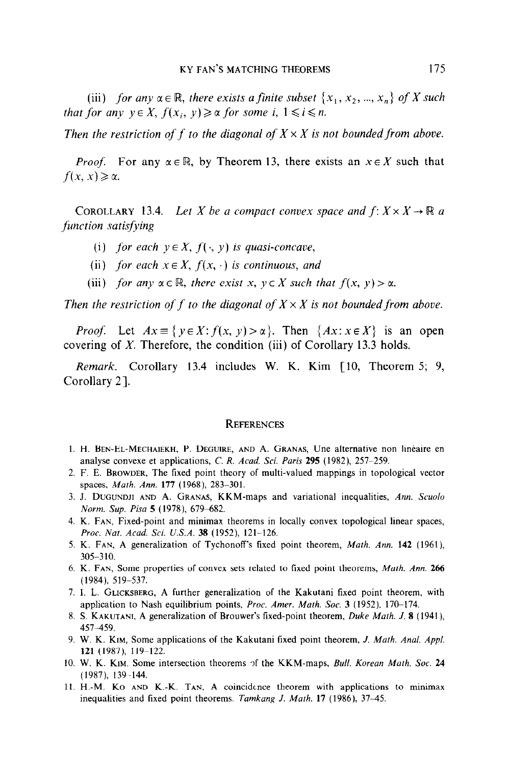(iii) for any  $\alpha \in \mathbb{R}$ , there exists a finite subset  $\{x_1, x_2, ..., x_n\}$  of X such that for any  $y \in X$ ,  $f(x_i, y) \geq \alpha$  for some i,  $1 \leq i \leq n$ .

Then the restriction of f to the diagonal of  $X \times X$  is not bounded from above.

*Proof.* For any  $\alpha \in \mathbb{R}$ , by Theorem 13, there exists an  $x \in X$  such that  $f(x, x) \geq \alpha$ .

COROLLARY 13.4. Let X be a compact convex space and  $f: X \times X \to \mathbb{R}$  a function satisfying

- (i) for each  $y \in X$ ,  $f(\cdot, y)$  is quasi-concave,
- (ii) for each  $x \in X$ ,  $f(x, \cdot)$  is continuous, and
- (iii) for any  $\alpha \in \mathbb{R}$ , there exist x,  $y \in X$  such that  $f(x, y) > \alpha$ .

Then the restriction of f to the diagonal of  $X \times X$  is not bounded from above.

*Proof.* Let  $Ax \equiv \{y \in X : f(x, y) > \alpha\}$ . Then  $\{Ax : x \in X\}$  is an open covering of X. Therefore, the condition (iii) of Corollary 13.3 holds.

Remark. Corollary 13.4 includes W. K. Kim [10, Theorem 5; 9, Corollary 21.

#### **REFERENCES**

- 1. H. BEN-EL-MECHAIEKH, P. DEGUIRE, AND A. GRANAS, Une alternative non lineaire en analyse convexe et applications, C. R. Acad. Sci. Paris  $295$  (1982),  $257-259$ .
- 2. F. E. BROWDER, The fixed point theory of multi-valued mappings in topological vector spaces, Math. Ann. 177 (1968), 283-301.
- 3. J. DUGUNDJI AND A. GRANAS, KKM-maps and variational inequalities, Ann. Scuolo Norm. Sup. Pisa 5 (1978), 679-682.
- 4. K. FAN, Fixed-point and minimax theorems in locally convex topological linear spaces, Proc. Nat. Acad. Sci. U.S.A. 38 (1952), 121-126.
- 5. K. FAN, A generalization of Tychonoff's fixed point theorem, Math. Ann. 142 (1961), 305-3 10.
- 6. K. FAN, Some properties of convex sets related to fixed point theorems, Math. Ann. 266 (1984), 519-537.
- 7. I. L. GLICKSBERG, A further generalization of the Kakutani fixed point theorem, with application to Nash equilibrium points, *Proc. Amer. Math. Soc.* 3 (1952), 170-174.
- 8. S. KAKUTANI, A generalization of Brouwer's fixed-point theorem, Duke Math. J. 8 (1941). 451459.
- 9. W. K. KIM, Some applications of the Kakutani fixed point theorem, J. Math. Anal. Appl. 121 (1987), 119-122.
- 10. W. K. KIM. Some intersection theorems of the KKM-maps, Bull. Korean Math. Soc. 24 (1987), 139-144.
- 11. H.-M. Ko AND K.-K. TAN, A coincidence theorem with applications to minimax inequalities and fixed point theorems. Tamkang J. Math. 17 (1986), 37-45.